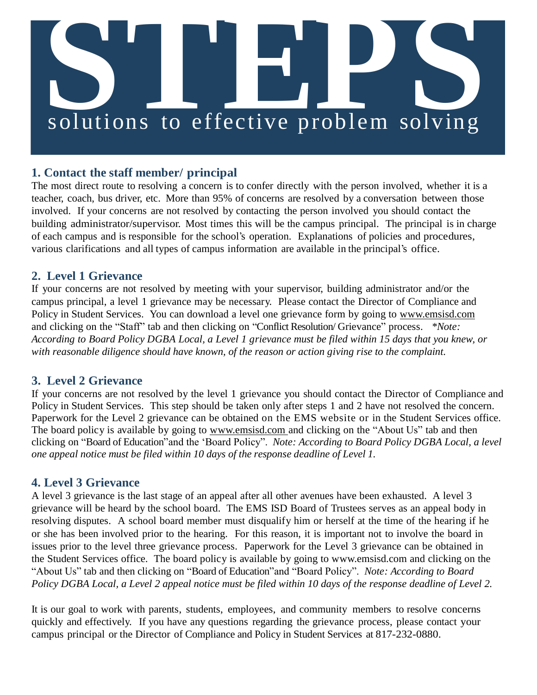# **S**<br> **Solutions** to effective problem solving

## **1. Contact the staff member/ principal**

The most direct route to resolving a concern is to confer directly with the person involved, whether it is a teacher, coach, bus driver, etc. More than 95% of concerns are resolved by a conversation between those involved. If your concerns are not resolved by contacting the person involved you should contact the building administrator/supervisor. Most times this will be the campus principal. The principal is in charge of each campus and is responsible for the school's operation. Explanations of policies and procedures, various clarifications and all types of campus information are available in the principal's office.

### **2. Level 1 Grievance**

If your concerns are not resolved by meeting with your supervisor, building administrator and/or the campus principal, a level 1 grievance may be necessary. Please contact the Director of Compliance and Policy in Student Services. You can download a level one grievance form by going to [www.emsisd.com](http://www.emsisd.com/) and clicking on the "Staff" tab and then clicking on "Conflict Resolution/ Grievance" process. *\*Note: According to Board Policy DGBA Local, a Level 1 grievance must be filed within 15 days that you knew, or with reasonable diligence should have known, of the reason or action giving rise to the complaint.*

### **3. Level 2 Grievance**

If your concerns are not resolved by the level 1 grievance you should contact the Director of Compliance and Policy in Student Services. This step should be taken only after steps 1 and 2 have not resolved the concern. Paperwork for the Level 2 grievance can be obtained on the EMS website or in the Student Services office. The board policy is available by going to [www.emsisd.com a](http://www.emsisd.com/)nd clicking on the "About Us" tab and then clicking on "Board of Education"and the 'Board Policy". *Note: According to Board Policy DGBA Local, a level one appeal notice must be filed within 10 days of the response deadline of Level 1.*

### **4. Level 3 Grievance**

A level 3 grievance is the last stage of an appeal after all other avenues have been exhausted. A level 3 grievance will be heard by the school board. The EMS ISD Board of Trustees serves as an appeal body in resolving disputes. A school board member must disqualify him or herself at the time of the hearing if he or she has been involved prior to the hearing. For this reason, it is important not to involve the board in issues prior to the level three grievance process. Paperwork for the Level 3 grievance can be obtained in the Student Services office. The board policy is available by going to [www.emsisd.com](http://www.emsisd.com/) and clicking on the "About Us" tab and then clicking on "Board of Education"and "Board Policy". *Note: According to Board Policy DGBA Local, a Level 2 appeal notice must be filed within 10 days of the response deadline of Level 2.*

It is our goal to work with parents, students, employees, and community members to resolve concerns quickly and effectively. If you have any questions regarding the grievance process, please contact your campus principal or the Director of Compliance and Policy in Student Services at 817-232-0880.